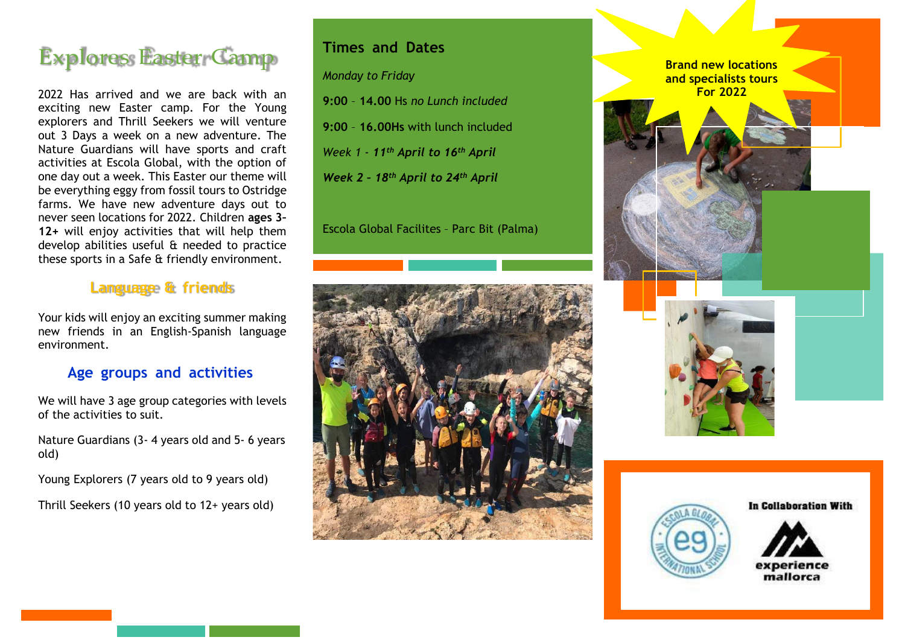

2022 Has arrived and we are back with an exciting new Easter camp. For the Young explorers and Thrill Seekers we will venture out 3 Days a week on a new adventure. The Nature Guardians will have sports and craft activities at Escola Global, with the option of one day out a week. This Easter our theme will be everything eggy from fossil tours to Ostridge farms. We have new adventure days out to never seen locations for 2022. Children **ages 3– 12+** will enjoy activities that will help them develop abilities useful & needed to practice these sports in a Safe & friendly environment.

#### **Language & friends**

Your kids will enjoy an exciting summer making new friends in an English-Spanish language environment.

### **Age groups and activities**

We will have 3 age group categories with levels of the activities to suit.

Nature Guardians (3- 4 years old and 5- 6 years old)

Young Explorers (7 years old to 9 years old)

Thrill Seekers (10 years old to 12+ years old)

#### **Times and Dates**

*Monday to Friday*

**9:00** – **14.00** Hs *no Lunch included*

**9:00** – **16.00Hs** with lunch included

*Week 1 - 11th April to 16th April*

*Week 2 – 18th April to 24th April*

Escola Global Facilites – Parc Bit (Palma)









In Collaboration With